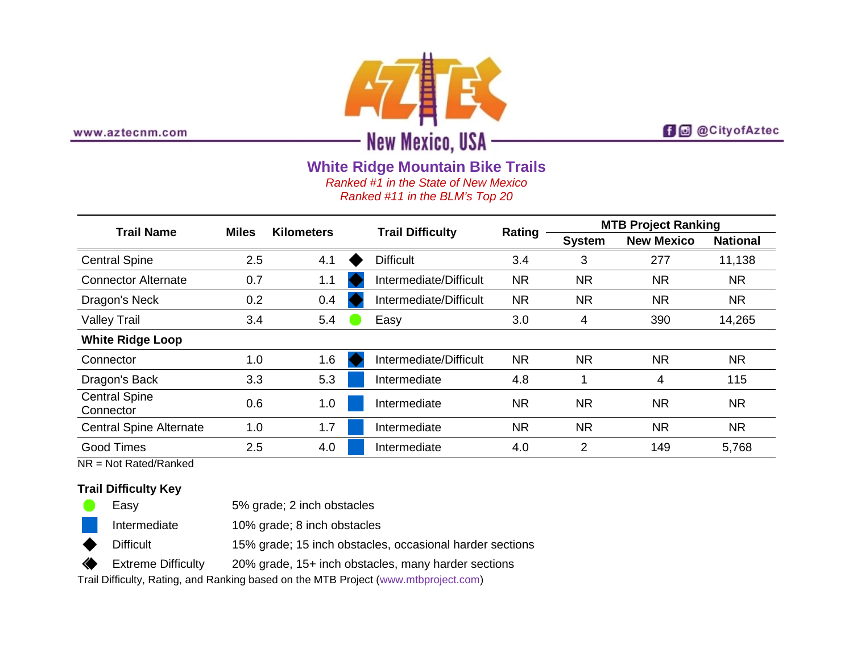

www.aztecnm.com

**f d** @CityofAztec

**White Ridge Mountain Bike Trails**

*Ranked #1 in the State of New Mexico*

*Ranked #11 in the BLM's Top 20*

| <b>Trail Name</b>                 | <b>Miles</b> | <b>Kilometers</b> |  | <b>Trail Difficulty</b> | Rating    | <b>MTB Project Ranking</b> |                   |                 |
|-----------------------------------|--------------|-------------------|--|-------------------------|-----------|----------------------------|-------------------|-----------------|
|                                   |              |                   |  |                         |           | <b>System</b>              | <b>New Mexico</b> | <b>National</b> |
| <b>Central Spine</b>              | 2.5          | 4.1               |  | <b>Difficult</b>        | 3.4       | 3                          | 277               | 11,138          |
| <b>Connector Alternate</b>        | 0.7          | 1.1               |  | Intermediate/Difficult  | <b>NR</b> | <b>NR</b>                  | <b>NR</b>         | <b>NR</b>       |
| Dragon's Neck                     | 0.2          | 0.4               |  | Intermediate/Difficult  | <b>NR</b> | <b>NR</b>                  | <b>NR</b>         | <b>NR</b>       |
| <b>Valley Trail</b>               | 3.4          | 5.4               |  | Easy                    | 3.0       | 4                          | 390               | 14,265          |
| <b>White Ridge Loop</b>           |              |                   |  |                         |           |                            |                   |                 |
| Connector                         | 1.0          | 1.6               |  | Intermediate/Difficult  | <b>NR</b> | <b>NR</b>                  | <b>NR</b>         | <b>NR</b>       |
| Dragon's Back                     | 3.3          | 5.3               |  | Intermediate            | 4.8       |                            | 4                 | 115             |
| <b>Central Spine</b><br>Connector | 0.6          | 1.0               |  | Intermediate            | <b>NR</b> | <b>NR</b>                  | <b>NR</b>         | <b>NR</b>       |
| <b>Central Spine Alternate</b>    | 1.0          | 1.7               |  | Intermediate            | <b>NR</b> | <b>NR</b>                  | <b>NR</b>         | <b>NR</b>       |
| <b>Good Times</b>                 | 2.5          | 4.0               |  | Intermediate            | 4.0       | $\overline{2}$             | 149               | 5,768           |

NR = Not Rated/Ranked

## **Trail Difficulty Key**

|   | Easy               | 5% grade; 2 inch obstacles                               |
|---|--------------------|----------------------------------------------------------|
|   | Intermediate       | 10% grade; 8 inch obstacles                              |
| ◆ | <b>Difficult</b>   | 15% grade; 15 inch obstacles, occasional harder sections |
|   | Extreme Difficulty | 20% grade, 15+ inch obstacles, many harder sections      |

Trail Difficulty, Rating, and Ranking based on the MTB Project [\(www.mtbproject.com\)](http://www.mtbproject.com/)